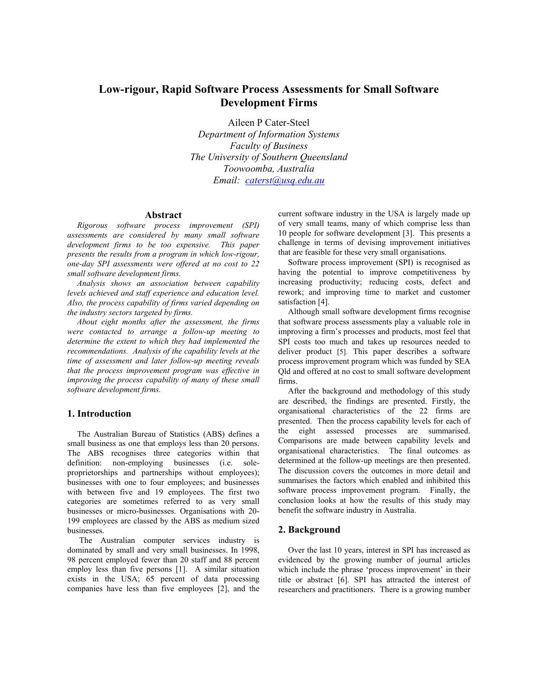# **Low-rigour, Rapid Software Process Assessments for Small Software Development Firms**

Aileen P Cater-Steel

*Department of Information Systems Faculty of Business The University of Southern Queensland Toowoomba, Australia Email: caterst@usq.edu.au*

### **Abstract**

*Rigorous software process improvement (SPI) assessments are considered by many small software development firms to be too expensive. This paper presents the results from a program in which low-rigour, one-day SPI assessments were offered at no cost to 22 small software development firms.* 

*Analysis shows an association between capability levels achieved and staff experience and education level. Also, the process capability of firms varied depending on the industry sectors targeted by firms.* 

*About eight months after the assessment, the firms were contacted to arrange a follow-up meeting to determine the extent to which they had implemented the recommendations. Analysis of the capability levels at the time of assessment and later follow-up meeting reveals that the process improvement program was effective in improving the process capability of many of these small software development firms.* 

# **1. Introduction**

The Australian Bureau of Statistics (ABS) defines a small business as one that employs less than 20 persons. The ABS recognises three categories within that definition: non-employing businesses (i.e. soleproprietorships and partnerships without employees); businesses with one to four employees; and businesses with between five and 19 employees. The first two categories are sometimes referred to as very small businesses or micro-businesses. Organisations with 20- 199 employees are classed by the ABS as medium sized businesses.

 The Australian computer services industry is dominated by small and very small businesses. In 1998, 98 percent employed fewer than 20 staff and 88 percent employ less than five persons [1]. A similar situation exists in the USA; 65 percent of data processing companies have less than five employees [2], and the

current software industry in the USA is largely made up of very small teams, many of which comprise less than 10 people for software development [3]. This presents a challenge in terms of devising improvement initiatives that are feasible for these very small organisations.

Software process improvement (SPI) is recognised as having the potential to improve competitiveness by increasing productivity; reducing costs, defect and rework; and improving time to market and customer satisfaction [4].

Although small software development firms recognise that software process assessments play a valuable role in improving a firm's processes and products, most feel that SPI costs too much and takes up resources needed to deliver product [5]. This paper describes a software process improvement program which was funded by SEA Qld and offered at no cost to small software development firms.

After the background and methodology of this study are described, the findings are presented. Firstly, the organisational characteristics of the 22 firms are presented. Then the process capability levels for each of the eight assessed processes are summarised. Comparisons are made between capability levels and organisational characteristics. The final outcomes as determined at the follow-up meetings are then presented. The discussion covers the outcomes in more detail and summarises the factors which enabled and inhibited this software process improvement program. Finally, the conclusion looks at how the results of this study may benefit the software industry in Australia.

### **2. Background**

Over the last 10 years, interest in SPI has increased as evidenced by the growing number of journal articles which include the phrase 'process improvement' in their title or abstract [6]. SPI has attracted the interest of researchers and practitioners. There is a growing number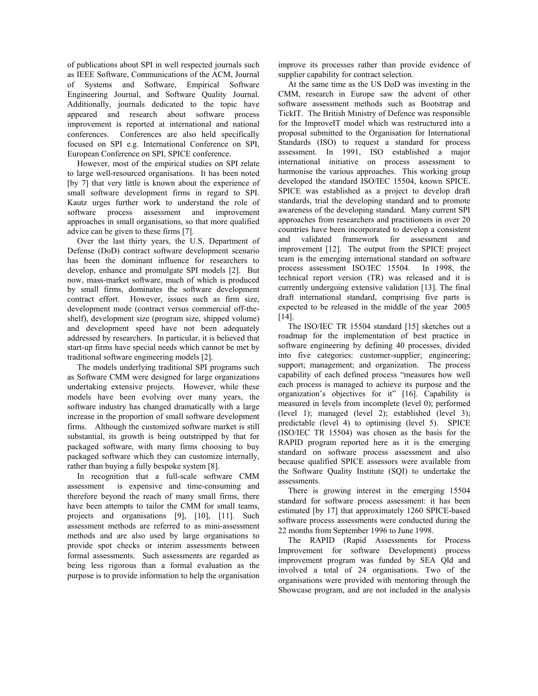of publications about SPI in well respected journals such as IEEE Software, Communications of the ACM, Journal of Systems and Software, Empirical Software Engineering Journal, and Software Quality Journal. Additionally, journals dedicated to the topic have appeared and research about software process improvement is reported at international and national conferences. Conferences are also held specifically focused on SPI e.g. International Conference on SPI, European Conference on SPI, SPICE conference.

However, most of the empirical studies on SPI relate to large well-resourced organisations. It has been noted [by 7] that very little is known about the experience of small software development firms in regard to SPI. Kautz urges further work to understand the role of software process assessment and improvement approaches in small organisations, so that more qualified advice can be given to these firms [7].

Over the last thirty years, the U.S. Department of Defense (DoD) contract software development scenario has been the dominant influence for researchers to develop, enhance and promulgate SPI models [2]. But now, mass-market software, much of which is produced by small firms, dominates the software development contract effort. However, issues such as firm size, development mode (contract versus commercial off-theshelf), development size (program size, shipped volume) and development speed have not been adequately addressed by researchers. In particular, it is believed that start-up firms have special needs which cannot be met by traditional software engineering models [2].

The models underlying traditional SPI programs such as Software CMM were designed for large organizations undertaking extensive projects. However, while these models have been evolving over many years, the software industry has changed dramatically with a large increase in the proportion of small software development firms. Although the customized software market is still substantial, its growth is being outstripped by that for packaged software, with many firms choosing to buy packaged software which they can customize internally, rather than buying a fully bespoke system [8].

In recognition that a full-scale software CMM assessment is expensive and time-consuming and therefore beyond the reach of many small firms, there have been attempts to tailor the CMM for small teams, projects and organisations [9], [10], [11]. Such assessment methods are referred to as mini-assessment methods and are also used by large organisations to provide spot checks or interim assessments between formal assessments. Such assessments are regarded as being less rigorous than a formal evaluation as the purpose is to provide information to help the organisation improve its processes rather than provide evidence of supplier capability for contract selection.

At the same time as the US DoD was investing in the CMM, research in Europe saw the advent of other software assessment methods such as Bootstrap and TickIT. The British Ministry of Defence was responsible for the ImproveIT model which was restructured into a proposal submitted to the Organisation for International Standards (ISO) to request a standard for process assessment. In 1991, ISO established a major international initiative on process assessment to harmonise the various approaches. This working group developed the standard ISO/IEC 15504, known SPICE. SPICE was established as a project to develop draft standards, trial the developing standard and to promote awareness of the developing standard. Many current SPI approaches from researchers and practitioners in over 20 countries have been incorporated to develop a consistent and validated framework for assessment and improvement [12]. The output from the SPICE project team is the emerging international standard on software process assessment ISO/IEC 15504. In 1998, the technical report version (TR) was released and it is currently undergoing extensive validation [13]. The final draft international standard, comprising five parts is expected to be released in the middle of the year 2005 [14].

The ISO/IEC TR 15504 standard [15] sketches out a roadmap for the implementation of best practice in software engineering by defining 40 processes, divided into five categories: customer-supplier; engineering; support; management; and organization. The process capability of each defined process "measures how well each process is managed to achieve its purpose and the organization's objectives for it" [16]. Capability is measured in levels from incomplete (level 0); performed (level 1); managed (level 2); established (level 3); predictable (level 4) to optimising (level 5). SPICE (ISO/IEC TR 15504) was chosen as the basis for the RAPID program reported here as it is the emerging standard on software process assessment and also because qualified SPICE assessors were available from the Software Quality Institute (SQI) to undertake the assessments.

There is growing interest in the emerging 15504 standard for software process assessment: it has been estimated [by 17] that approximately 1260 SPICE-based software process assessments were conducted during the 22 months from September 1996 to June 1998.

The RAPID (Rapid Assessments for Process Improvement for software Development) process improvement program was funded by SEA Qld and involved a total of 24 organisations. Two of the organisations were provided with mentoring through the Showcase program, and are not included in the analysis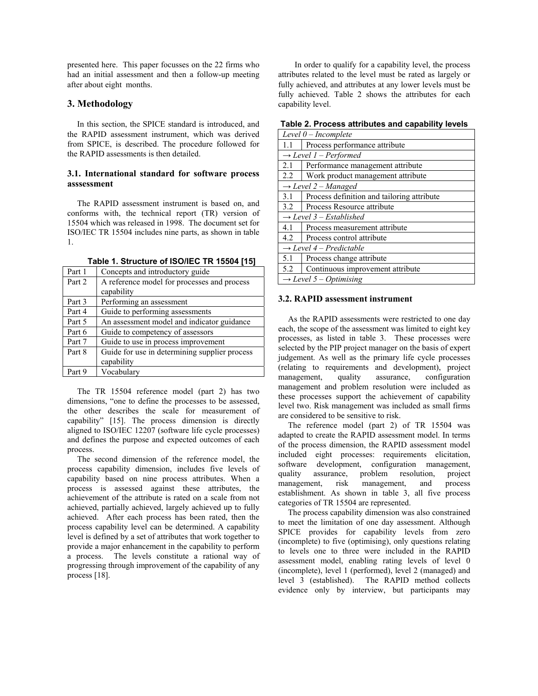presented here. This paper focusses on the 22 firms who had an initial assessment and then a follow-up meeting after about eight months.

# **3. Methodology**

In this section, the SPICE standard is introduced, and the RAPID assessment instrument, which was derived from SPICE, is described. The procedure followed for the RAPID assessments is then detailed.

### **3.1. International standard for software process asssessment**

The RAPID assessment instrument is based on, and conforms with, the technical report (TR) version of 15504 which was released in 1998. The document set for ISO/IEC TR 15504 includes nine parts, as shown in table 1.

|        | 1.401                                         |
|--------|-----------------------------------------------|
| Part 1 | Concepts and introductory guide               |
| Part 2 | A reference model for processes and process   |
|        | capability                                    |
| Part 3 | Performing an assessment                      |
| Part 4 | Guide to performing assessments               |
| Part 5 | An assessment model and indicator guidance    |
| Part 6 | Guide to competency of assessors              |
| Part 7 | Guide to use in process improvement           |
| Part 8 | Guide for use in determining supplier process |
|        | capability                                    |
| Part 9 | Vocabulary                                    |

**Table 1. Structure of ISO/IEC TR 15504 [15]** 

The TR 15504 reference model (part 2) has two dimensions, "one to define the processes to be assessed, the other describes the scale for measurement of capability" [15]. The process dimension is directly aligned to ISO/IEC 12207 (software life cycle processes) and defines the purpose and expected outcomes of each process.

The second dimension of the reference model, the process capability dimension, includes five levels of capability based on nine process attributes. When a process is assessed against these attributes, the achievement of the attribute is rated on a scale from not achieved, partially achieved, largely achieved up to fully achieved. After each process has been rated, then the process capability level can be determined. A capability level is defined by a set of attributes that work together to provide a major enhancement in the capability to perform a process. The levels constitute a rational way of progressing through improvement of the capability of any process [18].

In order to qualify for a capability level, the process attributes related to the level must be rated as largely or fully achieved, and attributes at any lower levels must be fully achieved. Table 2 shows the attributes for each capability level.

|  |  | Table 2. Process attributes and capability levels |  |  |  |
|--|--|---------------------------------------------------|--|--|--|
|--|--|---------------------------------------------------|--|--|--|

|               | Level $0$ – Incomplete                     |
|---------------|--------------------------------------------|
| 11            | Process performance attribute              |
|               | $\rightarrow$ Level 1 – Performed          |
| 2.1           | Performance management attribute           |
| $2.2^{\circ}$ | Work product management attribute          |
|               | $\rightarrow$ Level 2 – Managed            |
| 3.1           | Process definition and tailoring attribute |
| 3.2           | Process Resource attribute                 |
|               | $\rightarrow$ Level 3 – Established        |
| 4.1           | Process measurement attribute              |
| 4.2           | Process control attribute                  |
|               | $\rightarrow$ Level 4 – Predictable        |
| 5.1           | Process change attribute                   |
| 5.2           | Continuous improvement attribute           |
|               | $\rightarrow$ Level 5 – Optimising         |

# **3.2. RAPID assessment instrument**

As the RAPID assessments were restricted to one day each, the scope of the assessment was limited to eight key processes, as listed in table 3. These processes were selected by the PIP project manager on the basis of expert judgement. As well as the primary life cycle processes (relating to requirements and development), project management, quality assurance, configuration management and problem resolution were included as these processes support the achievement of capability level two. Risk management was included as small firms are considered to be sensitive to risk.

The reference model (part 2) of TR 15504 was adapted to create the RAPID assessment model. In terms of the process dimension, the RAPID assessment model included eight processes: requirements elicitation, software development, configuration management, quality assurance, problem resolution, project management, risk management, and process establishment. As shown in table 3, all five process categories of TR 15504 are represented.

The process capability dimension was also constrained to meet the limitation of one day assessment. Although SPICE provides for capability levels from zero (incomplete) to five (optimising), only questions relating to levels one to three were included in the RAPID assessment model, enabling rating levels of level 0 (incomplete), level 1 (performed), level 2 (managed) and level 3 (established). The RAPID method collects evidence only by interview, but participants may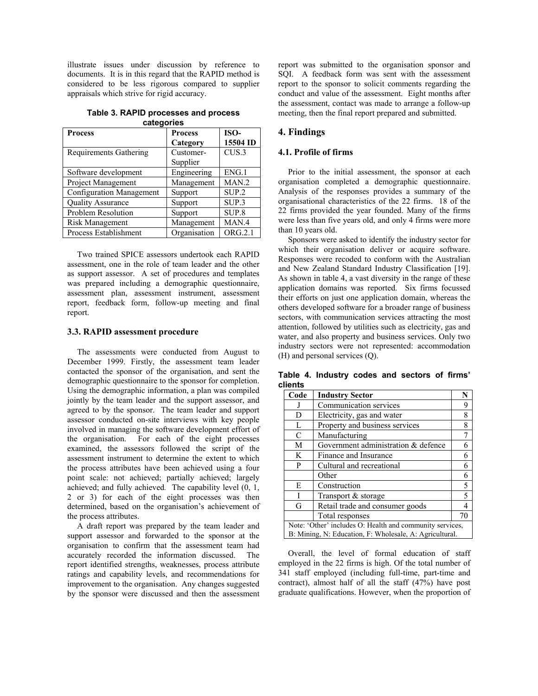illustrate issues under discussion by reference to documents. It is in this regard that the RAPID method is considered to be less rigorous compared to supplier appraisals which strive for rigid accuracy.

**Table 3. RAPID processes and process categories** 

| <b>Process</b>                  | <b>Process</b> | ISO-              |  |
|---------------------------------|----------------|-------------------|--|
|                                 | Category       | 15504 ID          |  |
| <b>Requirements Gathering</b>   | Customer-      | CUS.3             |  |
|                                 | Supplier       |                   |  |
| Software development            | Engineering    | ENG.1             |  |
| Project Management              | Management     | MAN.2             |  |
| <b>Configuration Management</b> | Support        | SUP.2             |  |
| Quality Assurance               | Support        | SUP.3             |  |
| Problem Resolution              | Support        | SUP <sub>.8</sub> |  |
| Risk Management                 | Management     | MAN.4             |  |
| Process Establishment           | Organisation   | ORG.2.1           |  |

Two trained SPICE assessors undertook each RAPID assessment, one in the role of team leader and the other as support assessor. A set of procedures and templates was prepared including a demographic questionnaire, assessment plan, assessment instrument, assessment report, feedback form, follow-up meeting and final report.

### **3.3. RAPID assessment procedure**

The assessments were conducted from August to December 1999. Firstly, the assessment team leader contacted the sponsor of the organisation, and sent the demographic questionnaire to the sponsor for completion. Using the demographic information, a plan was compiled jointly by the team leader and the support assessor, and agreed to by the sponsor. The team leader and support assessor conducted on-site interviews with key people involved in managing the software development effort of the organisation. For each of the eight processes examined, the assessors followed the script of the assessment instrument to determine the extent to which the process attributes have been achieved using a four point scale: not achieved; partially achieved; largely achieved; and fully achieved*.* The capability level (0, 1, 2 or 3) for each of the eight processes was then determined, based on the organisation's achievement of the process attributes.

A draft report was prepared by the team leader and support assessor and forwarded to the sponsor at the organisation to confirm that the assessment team had accurately recorded the information discussed. The report identified strengths, weaknesses, process attribute ratings and capability levels, and recommendations for improvement to the organisation. Any changes suggested by the sponsor were discussed and then the assessment report was submitted to the organisation sponsor and SQI. A feedback form was sent with the assessment report to the sponsor to solicit comments regarding the conduct and value of the assessment. Eight months after the assessment, contact was made to arrange a follow-up meeting, then the final report prepared and submitted.

# **4. Findings**

#### **4.1. Profile of firms**

Prior to the initial assessment, the sponsor at each organisation completed a demographic questionnaire. Analysis of the responses provides a summary of the organisational characteristics of the 22 firms. 18 of the 22 firms provided the year founded. Many of the firms were less than five years old, and only 4 firms were more than 10 years old.

Sponsors were asked to identify the industry sector for which their organisation deliver or acquire software. Responses were recoded to conform with the Australian and New Zealand Standard Industry Classification [19]. As shown in table 4, a vast diversity in the range of these application domains was reported. Six firms focussed their efforts on just one application domain, whereas the others developed software for a broader range of business sectors, with communication services attracting the most attention, followed by utilities such as electricity, gas and water, and also property and business services. Only two industry sectors were not represented: accommodation (H) and personal services (Q).

| Code                                                     | <b>Industry Sector</b>                                  | N              |  |  |
|----------------------------------------------------------|---------------------------------------------------------|----------------|--|--|
| J                                                        | Communication services                                  | 9              |  |  |
| D                                                        | Electricity, gas and water                              | 8              |  |  |
| L                                                        | Property and business services                          | 8              |  |  |
| $\mathcal{C}$                                            | Manufacturing                                           | $\overline{7}$ |  |  |
| M                                                        | Government administration & defence                     | 6              |  |  |
| K                                                        | Finance and Insurance                                   | 6              |  |  |
| P                                                        | Cultural and recreational                               | 6              |  |  |
|                                                          | Other                                                   | 6              |  |  |
| E                                                        | Construction                                            | 5              |  |  |
| Ī                                                        | Transport & storage                                     | $\overline{5}$ |  |  |
| G                                                        | Retail trade and consumer goods                         | $\overline{4}$ |  |  |
|                                                          | Total responses                                         | 70             |  |  |
| Note: 'Other' includes O: Health and community services, |                                                         |                |  |  |
|                                                          | B: Mining, N: Education, F: Wholesale, A: Agricultural. |                |  |  |

**Table 4. Industry codes and sectors of firms' clients**

Overall, the level of formal education of staff employed in the 22 firms is high. Of the total number of 341 staff employed (including full-time, part-time and contract), almost half of all the staff (47%) have post graduate qualifications. However, when the proportion of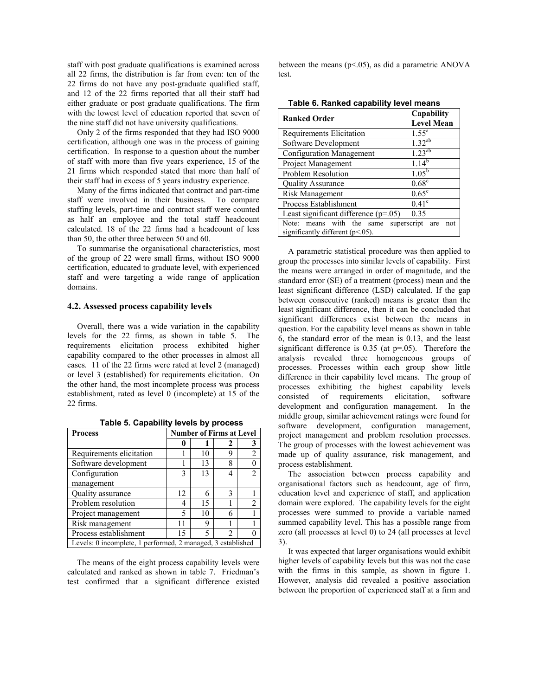staff with post graduate qualifications is examined across all 22 firms, the distribution is far from even: ten of the 22 firms do not have any post-graduate qualified staff, and 12 of the 22 firms reported that all their staff had either graduate or post graduate qualifications. The firm with the lowest level of education reported that seven of the nine staff did not have university qualifications.

Only 2 of the firms responded that they had ISO 9000 certification, although one was in the process of gaining certification. In response to a question about the number of staff with more than five years experience, 15 of the 21 firms which responded stated that more than half of their staff had in excess of 5 years industry experience.

Many of the firms indicated that contract and part-time<br>ff were involved in their business. To compare staff were involved in their business. staffing levels, part-time and contract staff were counted as half an employee and the total staff headcount calculated. 18 of the 22 firms had a headcount of less than 50, the other three between 50 and 60.

To summarise the organisational characteristics, most of the group of 22 were small firms, without ISO 9000 certification, educated to graduate level, with experienced staff and were targeting a wide range of application domains.

#### **4.2. Assessed process capability levels**

Overall, there was a wide variation in the capability levels for the 22 firms, as shown in table 5. The requirements elicitation process exhibited higher capability compared to the other processes in almost all cases. 11 of the 22 firms were rated at level 2 (managed) or level 3 (established) for requirements elicitation. On the other hand, the most incomplete process was process establishment, rated as level 0 (incomplete) at 15 of the 22 firms.

| <b>Process</b>                                              | <b>Number of Firms at Level</b> |    |   |                             |  |  |
|-------------------------------------------------------------|---------------------------------|----|---|-----------------------------|--|--|
|                                                             |                                 |    | 2 |                             |  |  |
| Requirements elicitation                                    |                                 | 10 | 9 | $\overline{2}$              |  |  |
| Software development                                        |                                 | 13 | 8 |                             |  |  |
| Configuration                                               | 3                               | 13 | 4 | $\mathcal{D}_{\mathcal{L}}$ |  |  |
| management                                                  |                                 |    |   |                             |  |  |
| Quality assurance                                           | 12                              | 6  | 3 |                             |  |  |
| Problem resolution                                          | 4                               | 15 |   | $\mathfrak{D}$              |  |  |
| Project management                                          | 5                               | 10 | 6 |                             |  |  |
| Risk management                                             |                                 | 9  |   |                             |  |  |
| Process establishment                                       | 15                              | 5  | 2 |                             |  |  |
| Levels: 0 incomplete, 1 performed, 2 managed, 3 established |                                 |    |   |                             |  |  |

**Table 5. Capability levels by process** 

The means of the eight process capability levels were calculated and ranked as shown in table 7. Friedman's test confirmed that a significant difference existed between the means  $(p<0.05)$ , as did a parametric ANOVA test.

| <b>Ranked Order</b>                                                 | Capability<br><b>Level Mean</b> |
|---------------------------------------------------------------------|---------------------------------|
| Requirements Elicitation                                            | $1.55^{\circ}$                  |
| Software Development                                                | $1.32^{ab}$                     |
| Configuration Management                                            | $1.23^{ab}$                     |
| Project Management                                                  | $1.14^{b}$                      |
| <b>Problem Resolution</b>                                           | $1.05^{b}$                      |
| <b>Quality Assurance</b>                                            | $0.68^{\circ}$                  |
| Risk Management                                                     | $0.65^{\circ}$                  |
| Process Establishment                                               | $0.41^\circ$                    |
| Least significant difference $(p=.05)$                              | 0.35                            |
| means with the same<br>Note:<br>significantly different $(p<.05)$ . | superscript<br>are<br>not       |

A parametric statistical procedure was then applied to group the processes into similar levels of capability. First the means were arranged in order of magnitude, and the standard error (SE) of a treatment (process) mean and the least significant difference (LSD) calculated. If the gap between consecutive (ranked) means is greater than the least significant difference, then it can be concluded that significant differences exist between the means in question. For the capability level means as shown in table 6, the standard error of the mean is 0.13, and the least significant difference is  $0.35$  (at  $p=.05$ ). Therefore the analysis revealed three homogeneous groups of processes. Processes within each group show little difference in their capability level means. The group of processes exhibiting the highest capability levels consisted of requirements elicitation, software development and configuration management. In the middle group, similar achievement ratings were found for software development, configuration management, project management and problem resolution processes. The group of processes with the lowest achievement was made up of quality assurance, risk management, and process establishment.

The association between process capability and organisational factors such as headcount, age of firm, education level and experience of staff, and application domain were explored. The capability levels for the eight processes were summed to provide a variable named summed capability level. This has a possible range from zero (all processes at level 0) to 24 (all processes at level 3).

It was expected that larger organisations would exhibit higher levels of capability levels but this was not the case with the firms in this sample, as shown in figure 1. However, analysis did revealed a positive association between the proportion of experienced staff at a firm and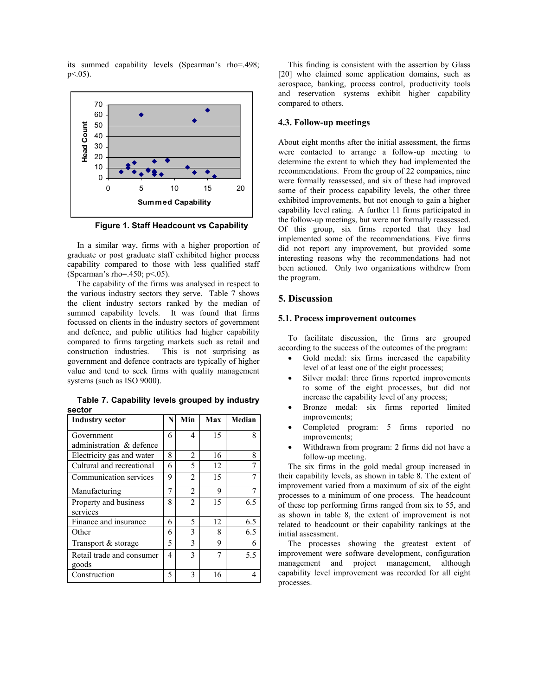its summed capability levels (Spearman's rho=.498;  $p < 0.05$ ).



**Figure 1. Staff Headcount vs Capability** 

In a similar way, firms with a higher proportion of graduate or post graduate staff exhibited higher process capability compared to those with less qualified staff (Spearman's rho=.450; p<.05).

The capability of the firms was analysed in respect to the various industry sectors they serve. Table 7 shows the client industry sectors ranked by the median of summed capability levels. It was found that firms focussed on clients in the industry sectors of government and defence, and public utilities had higher capability compared to firms targeting markets such as retail and construction industries. This is not surprising as government and defence contracts are typically of higher value and tend to seek firms with quality management systems (such as ISO 9000).

|        | Table 7. Capability levels grouped by industry |  |  |
|--------|------------------------------------------------|--|--|
| sector |                                                |  |  |

| <b>Industry sector</b>                 | N | Min            | Max | Median |
|----------------------------------------|---|----------------|-----|--------|
| Government<br>administration & defence | 6 | 4              | 15  | 8      |
| Electricity gas and water              | 8 | $\mathfrak{D}$ | 16  | 8      |
| Cultural and recreational              | 6 | 5              | 12  | 7      |
| Communication services                 | 9 | 2              | 15  |        |
| Manufacturing                          | 7 | $\overline{2}$ | 9   | 7      |
| Property and business<br>services      | 8 | $\mathfrak{D}$ | 15  | 6.5    |
| Finance and insurance                  | 6 | 5              | 12  | 6.5    |
| Other                                  | 6 | 3              | 8   | 6.5    |
| Transport & storage                    | 5 | 3              | 9   | 6      |
| Retail trade and consumer<br>goods     | 4 | 3              | 7   | 5.5    |
| Construction                           | 5 | 3              | 16  |        |

This finding is consistent with the assertion by Glass [20] who claimed some application domains, such as aerospace, banking, process control, productivity tools and reservation systems exhibit higher capability compared to others.

#### **4.3. Follow-up meetings**

About eight months after the initial assessment, the firms were contacted to arrange a follow-up meeting to determine the extent to which they had implemented the recommendations. From the group of 22 companies, nine were formally reassessed, and six of these had improved some of their process capability levels, the other three exhibited improvements, but not enough to gain a higher capability level rating. A further 11 firms participated in the follow-up meetings, but were not formally reassessed. Of this group, six firms reported that they had implemented some of the recommendations. Five firms did not report any improvement, but provided some interesting reasons why the recommendations had not been actioned. Only two organizations withdrew from the program.

# **5. Discussion**

# **5.1. Process improvement outcomes**

To facilitate discussion, the firms are grouped according to the success of the outcomes of the program:

- Gold medal: six firms increased the capability level of at least one of the eight processes;
- Silver medal: three firms reported improvements to some of the eight processes, but did not increase the capability level of any process;
- Bronze medal: six firms reported limited improvements;
- Completed program: 5 firms reported no improvements;
- Withdrawn from program: 2 firms did not have a follow-up meeting.

The six firms in the gold medal group increased in their capability levels, as shown in table 8. The extent of improvement varied from a maximum of six of the eight processes to a minimum of one process. The headcount of these top performing firms ranged from six to 55, and as shown in table 8, the extent of improvement is not related to headcount or their capability rankings at the initial assessment.

The processes showing the greatest extent of improvement were software development, configuration management and project management, although capability level improvement was recorded for all eight processes.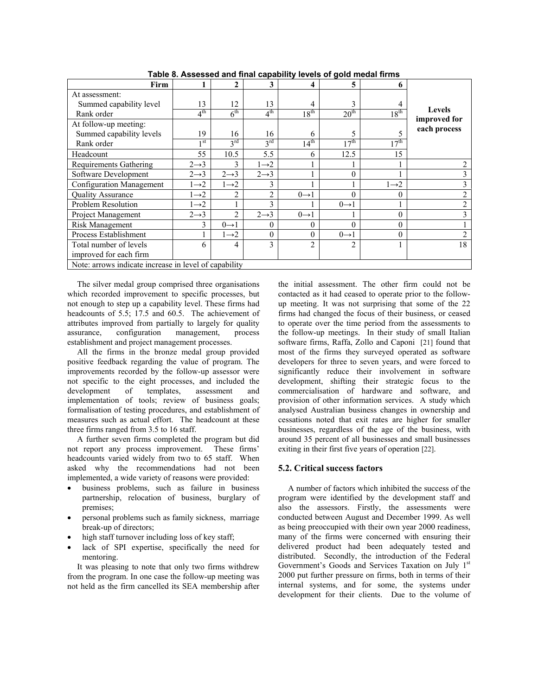| Firm                                                  |                   | 2                 | 3                 | 4                 | 5                 | 6                |                               |
|-------------------------------------------------------|-------------------|-------------------|-------------------|-------------------|-------------------|------------------|-------------------------------|
| At assessment:                                        |                   |                   |                   |                   |                   |                  |                               |
| Summed capability level                               | 13                | 12                | 13                | 4                 | 3                 |                  |                               |
| Rank order                                            | $4^{\text{th}}$   | 6 <sup>th</sup>   | $4^{\text{th}}$   | 18 <sup>th</sup>  | 20 <sup>th</sup>  | 18 <sup>th</sup> | <b>Levels</b><br>improved for |
| At follow-up meeting:                                 |                   |                   |                   |                   |                   |                  | each process                  |
| Summed capability levels                              | 19                | 16                | 16                | 6                 | 5                 |                  |                               |
| Rank order                                            | 1 <sup>st</sup>   | $3^{\text{rd}}$   | $3^{\text{rd}}$   | $14^{th}$         | 17 <sup>th</sup>  | 17 <sup>th</sup> |                               |
| Headcount                                             | 55                | 10.5              | 5.5               | 6                 | 12.5              | 15               |                               |
| <b>Requirements Gathering</b>                         | $2 \rightarrow 3$ | 3                 | $1\rightarrow 2$  |                   |                   |                  |                               |
| Software Development                                  | $2 \rightarrow 3$ | $2 \rightarrow 3$ | $2 \rightarrow 3$ |                   |                   |                  |                               |
| <b>Configuration Management</b>                       | $1\rightarrow 2$  | $1\rightarrow 2$  | $\mathbf{3}$      |                   |                   | $1\rightarrow 2$ | 3                             |
| <b>Quality Assurance</b>                              | $1\rightarrow 2$  | $\overline{2}$    | $\overline{c}$    | $0 \rightarrow 1$ | 0                 | 0                | 2                             |
| <b>Problem Resolution</b>                             | $1\rightarrow 2$  |                   | $\mathbf{3}$      |                   | $0 \rightarrow 1$ |                  |                               |
| Project Management                                    | $2 \rightarrow 3$ | $\mathfrak{D}$    | $2 \rightarrow 3$ | $0 \rightarrow 1$ |                   | 0                |                               |
| Risk Management                                       | 3                 | $0 \rightarrow 1$ | 0                 | $\Omega$          | 0                 | 0                |                               |
| Process Establishment                                 |                   | $1\rightarrow 2$  | $\theta$          | $\Omega$          | $0 \rightarrow 1$ | $\theta$         |                               |
| Total number of levels                                | 6                 | 4                 | 3                 | $\mathfrak{D}$    | $\mathfrak{D}$    |                  | 18                            |
| improved for each firm                                |                   |                   |                   |                   |                   |                  |                               |
| Note: arrows indicate increase in level of capability |                   |                   |                   |                   |                   |                  |                               |

**Table 8. Assessed and final capability levels of gold medal firms**

The silver medal group comprised three organisations which recorded improvement to specific processes, but not enough to step up a capability level. These firms had headcounts of 5.5; 17.5 and 60.5. The achievement of attributes improved from partially to largely for quality assurance, configuration management, process establishment and project management processes.

All the firms in the bronze medal group provided positive feedback regarding the value of program. The improvements recorded by the follow-up assessor were not specific to the eight processes, and included the development of templates, assessment and implementation of tools; review of business goals; formalisation of testing procedures, and establishment of measures such as actual effort. The headcount at these three firms ranged from 3.5 to 16 staff.

A further seven firms completed the program but did not report any process improvement. These firms' headcounts varied widely from two to 65 staff. When asked why the recommendations had not been implemented, a wide variety of reasons were provided:

- business problems, such as failure in business partnership, relocation of business, burglary of premises;
- personal problems such as family sickness, marriage break-up of directors;
- high staff turnover including loss of key staff;
- lack of SPI expertise, specifically the need for mentoring.

It was pleasing to note that only two firms withdrew from the program. In one case the follow-up meeting was not held as the firm cancelled its SEA membership after the initial assessment. The other firm could not be contacted as it had ceased to operate prior to the followup meeting. It was not surprising that some of the 22 firms had changed the focus of their business, or ceased to operate over the time period from the assessments to the follow-up meetings. In their study of small Italian software firms, Raffa, Zollo and Caponi [21] found that most of the firms they surveyed operated as software developers for three to seven years, and were forced to significantly reduce their involvement in software development, shifting their strategic focus to the commercialisation of hardware and software, and provision of other information services. A study which analysed Australian business changes in ownership and cessations noted that exit rates are higher for smaller businesses, regardless of the age of the business, with around 35 percent of all businesses and small businesses exiting in their first five years of operation [22].

#### **5.2. Critical success factors**

A number of factors which inhibited the success of the program were identified by the development staff and also the assessors. Firstly, the assessments were conducted between August and December 1999. As well as being preoccupied with their own year 2000 readiness, many of the firms were concerned with ensuring their delivered product had been adequately tested and distributed. Secondly, the introduction of the Federal Government's Goods and Services Taxation on July 1<sup>st</sup> 2000 put further pressure on firms, both in terms of their internal systems, and for some, the systems under development for their clients. Due to the volume of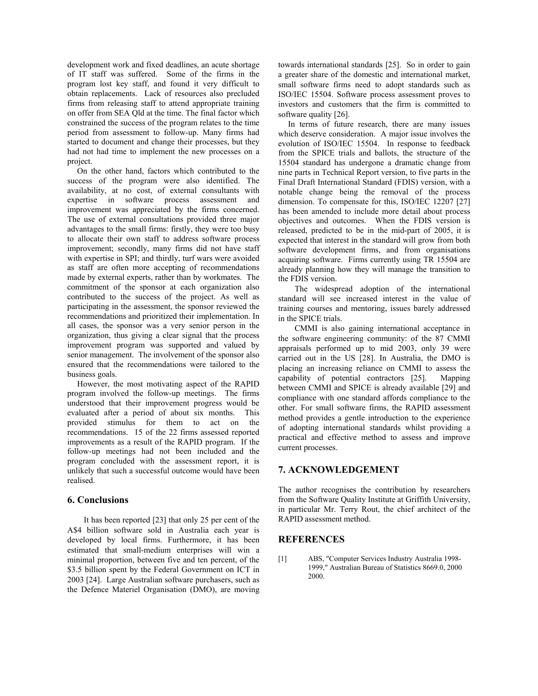development work and fixed deadlines, an acute shortage of IT staff was suffered. Some of the firms in the program lost key staff, and found it very difficult to obtain replacements. Lack of resources also precluded firms from releasing staff to attend appropriate training on offer from SEA Qld at the time. The final factor which constrained the success of the program relates to the time period from assessment to follow-up. Many firms had started to document and change their processes, but they had not had time to implement the new processes on a project.

On the other hand, factors which contributed to the success of the program were also identified. The availability, at no cost, of external consultants with expertise in software process assessment and improvement was appreciated by the firms concerned. The use of external consultations provided three major advantages to the small firms: firstly, they were too busy to allocate their own staff to address software process improvement; secondly, many firms did not have staff with expertise in SPI; and thirdly, turf wars were avoided as staff are often more accepting of recommendations made by external experts, rather than by workmates. The commitment of the sponsor at each organization also contributed to the success of the project. As well as participating in the assessment, the sponsor reviewed the recommendations and prioritized their implementation. In all cases, the sponsor was a very senior person in the organization, thus giving a clear signal that the process improvement program was supported and valued by senior management. The involvement of the sponsor also ensured that the recommendations were tailored to the business goals.

However, the most motivating aspect of the RAPID program involved the follow-up meetings. The firms understood that their improvement progress would be evaluated after a period of about six months. This provided stimulus for them to act on the recommendations. 15 of the 22 firms assessed reported improvements as a result of the RAPID program. If the follow-up meetings had not been included and the program concluded with the assessment report, it is unlikely that such a successful outcome would have been realised.

# **6. Conclusions**

It has been reported [23] that only 25 per cent of the A\$4 billion software sold in Australia each year is developed by local firms. Furthermore, it has been estimated that small-medium enterprises will win a minimal proportion, between five and ten percent, of the \$3.5 billion spent by the Federal Government on ICT in 2003 [24]. Large Australian software purchasers, such as the Defence Materiel Organisation (DMO), are moving

towards international standards [25]. So in order to gain a greater share of the domestic and international market, small software firms need to adopt standards such as ISO/IEC 15504. Software process assessment proves to investors and customers that the firm is committed to software quality [26].

In terms of future research, there are many issues which deserve consideration. A major issue involves the evolution of ISO/IEC 15504. In response to feedback from the SPICE trials and ballots, the structure of the 15504 standard has undergone a dramatic change from nine parts in Technical Report version, to five parts in the Final Draft International Standard (FDIS) version, with a notable change being the removal of the process dimension. To compensate for this, ISO/IEC 12207 [27] has been amended to include more detail about process objectives and outcomes. When the FDIS version is released, predicted to be in the mid-part of 2005, it is expected that interest in the standard will grow from both software development firms, and from organisations acquiring software. Firms currently using TR 15504 are already planning how they will manage the transition to the FDIS version.

The widespread adoption of the international standard will see increased interest in the value of training courses and mentoring, issues barely addressed in the SPICE trials.

CMMI is also gaining international acceptance in the software engineering community: of the 87 CMMI appraisals performed up to mid 2003, only 39 were carried out in the US [28]. In Australia, the DMO is placing an increasing reliance on CMMI to assess the capability of potential contractors [25]. Mapping between CMMI and SPICE is already available [29] and compliance with one standard affords compliance to the other. For small software firms, the RAPID assessment method provides a gentle introduction to the experience of adopting international standards whilst providing a practical and effective method to assess and improve current processes.

### **7. ACKNOWLEDGEMENT**

The author recognises the contribution by researchers from the Software Quality Institute at Griffith University, in particular Mr. Terry Rout, the chief architect of the RAPID assessment method.

### **REFERENCES**

[1] ABS, "Computer Services Industry Australia 1998- 1999," Australian Bureau of Statistics 8669.0, 2000 2000.